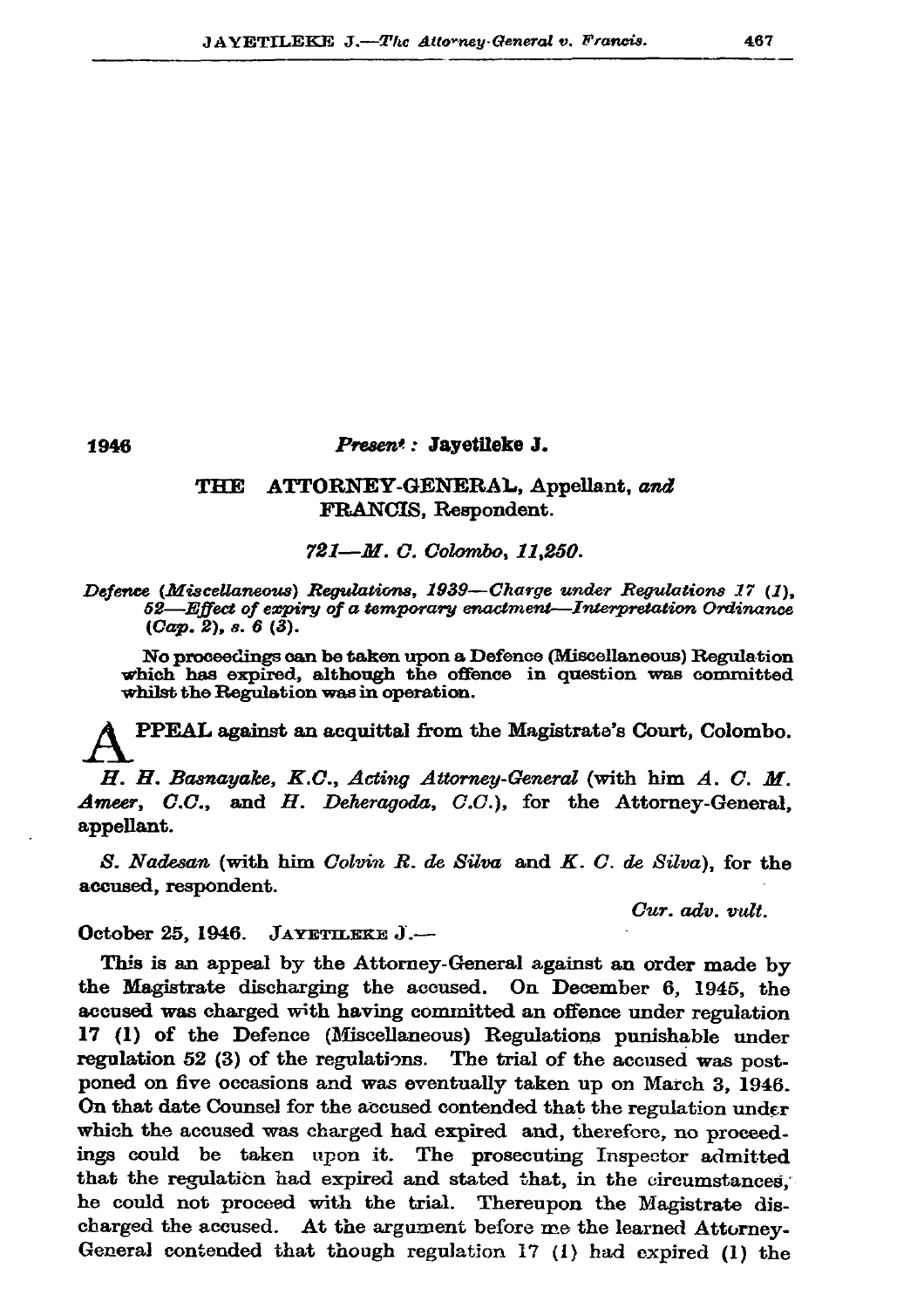1946

## Present: Jayetileke J.

## THE ATTORNEY-GENERAL, Appellant, and FRANCIS, Respondent.

721-M. C. Colombo, 11.250.

## Defence (Miscellaneous) Regulations, 1939—Charge under Regulations 17 (1), 52-Effect of expiry of a temporary enactment-Interpretation Ordinance  $(Cap. 2), s. 6 (3).$

No proceedings can be taken upon a Defence (Miscellaneous) Regulation which has expired, although the offence in question was committed whilst the Regulation was in operation.

PPEAL against an acquittal from the Magistrate's Court, Colombo.

H. H. Basnayake, K.C., Acting Attorney-General (with him A. C. M. Ameer, C.C., and H. Deheragoda, C.C.), for the Attorney-General, appellant.

S. Nadesan (with him Colvin R. de Silva and K. C. de Silva), for the accused, respondent.

Cur. adv. vult.

October 25, 1946. JAYETLEKE J.-

This is an appeal by the Attorney-General against an order made by the Magistrate discharging the accused. On December 6, 1945, the accused was charged with having committed an offence under regulation 17 (1) of the Defence (Miscellaneous) Regulations punishable under regulation 52 (3) of the regulations. The trial of the accused was postponed on five occasions and was eventually taken up on March 3, 1946. On that date Counsel for the accused contended that the regulation under which the accused was charged had expired and, therefore, no proceedings could be taken upon it. The prosecuting Inspector admitted that the regulation had expired and stated that, in the circumstances, he could not proceed with the trial. Thereupon the Magistrate discharged the accused. At the argument before me the learned Attorney-General contended that though regulation 17 (1) had expired (1) the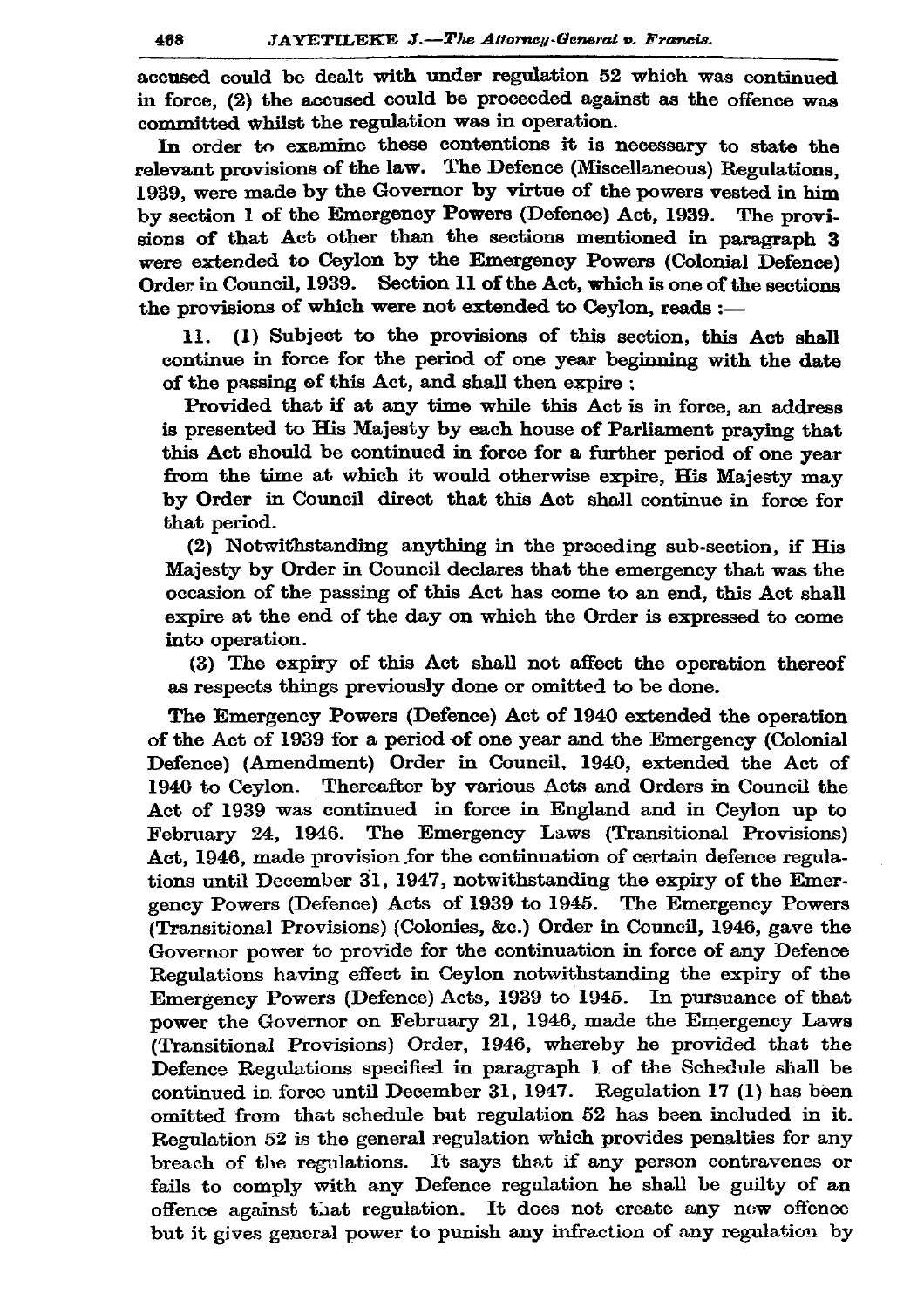accused could be dealt with under regulation 52 which was continued in force, (2) the accused could be proceeded against as the offence was committed whilst the regulation was in operation.

In order to examine these contentions it is necessary to state the relevant provisions of the law. The Defence (Miscellaneous) Regulations. 1939, were made by the Governor by virtue of the powers vested in him by section 1 of the Emergency Powers (Defence) Act, 1939. The provisions of that Act other than the sections mentioned in paragraph 3 were extended to Ceylon by the Emergency Powers (Colonial Defence) Order in Council, 1939. Section 11 of the Act, which is one of the sections the provisions of which were not extended to Cevlon, reads :-

(1) Subject to the provisions of this section, this Act shall 11. continue in force for the period of one year beginning with the date of the passing of this Act, and shall then expire ;

Provided that if at any time while this Act is in force, an address is presented to His Majesty by each house of Parliament praying that this Act should be continued in force for a further period of one year from the time at which it would otherwise expire. His Majesty may by Order in Council direct that this Act shall continue in force for that period.

(2) Notwithstanding anything in the preceding sub-section, if His Majesty by Order in Council declares that the emergency that was the occasion of the passing of this Act has come to an end, this Act shall expire at the end of the day on which the Order is expressed to come into operation.

(3) The expiry of this Act shall not affect the operation thereof as respects things previously done or omitted to be done.

The Emergency Powers (Defence) Act of 1940 extended the operation of the Act of 1939 for a period of one year and the Emergency (Colonial Defence) (Amendment) Order in Council, 1940, extended the Act of 1940 to Ceylon. Thereafter by various Acts and Orders in Council the Act of 1939 was continued in force in England and in Ceylon up to February 24, 1946. The Emergency Laws (Transitional Provisions) Act, 1946, made provision for the continuation of certain defence regulations until December 31, 1947, notwithstanding the expiry of the Emergency Powers (Defence) Acts of 1939 to 1945. The Emergency Powers (Transitional Provisions) (Colonies, &c.) Order in Council, 1946, gave the Governor power to provide for the continuation in force of any Defence Regulations having effect in Ceylon notwithstanding the expiry of the Emergency Powers (Defence) Acts, 1939 to 1945. In pursuance of that power the Governor on February 21, 1946, made the Emergency Laws (Transitional Provisions) Order, 1946, whereby he provided that the Defence Regulations specified in paragraph 1 of the Schedule shall be continued in force until December 31, 1947. Regulation 17 (1) has been omitted from that schedule but regulation 52 has been included in it. Regulation 52 is the general regulation which provides penalties for any breach of the regulations. It says that if any person contravenes or fails to comply with any Defence regulation he shall be guilty of an offence against that regulation. It does not create any new offence but it gives general power to punish any infraction of any regulation by

468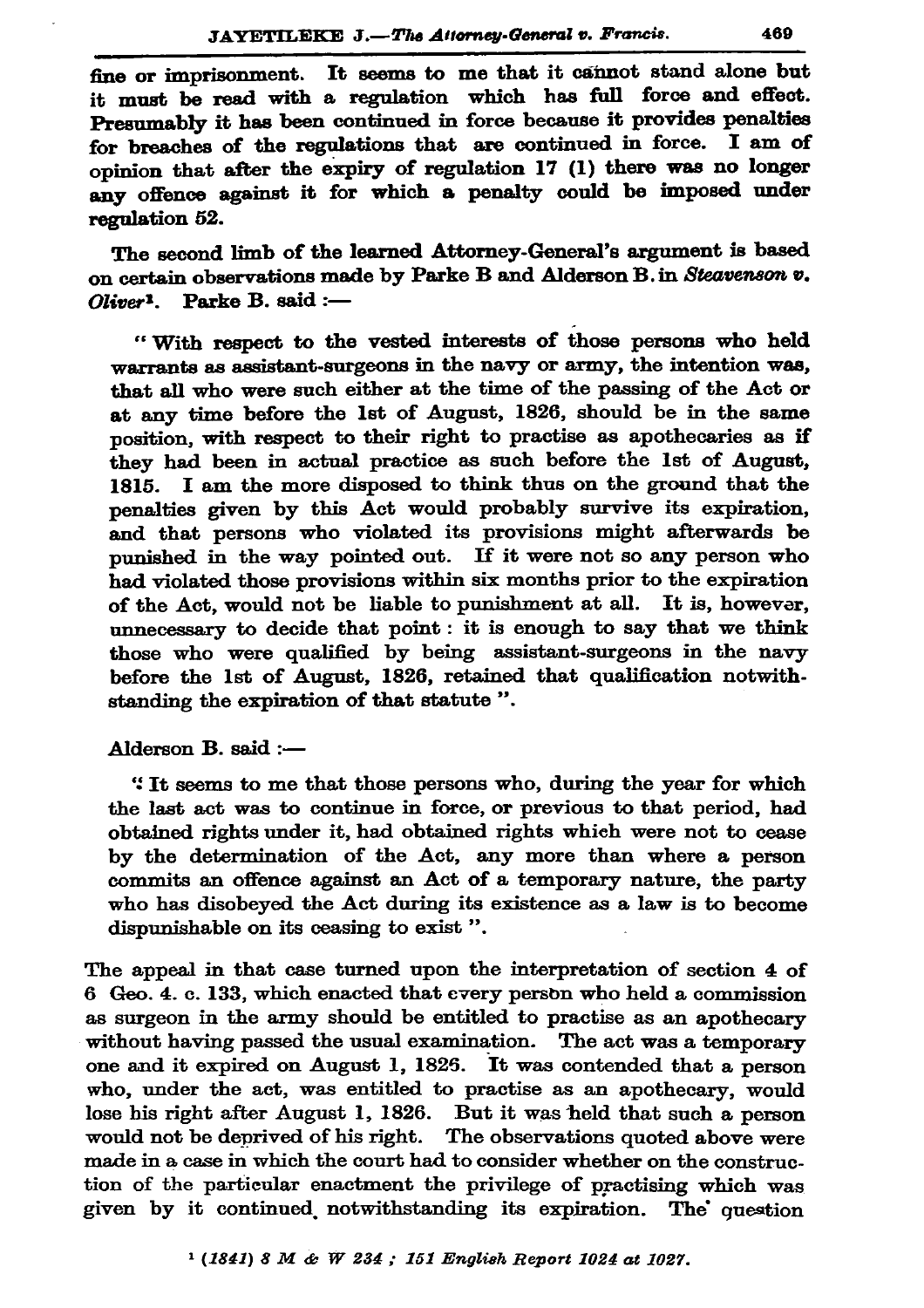fine or imprisonment. It seems to me that it cannot stand alone but it must be read with a regulation which has full force and effect. Presumably it has been continued in force because it provides penalties for breaches of the regulations that are continued in force. I am of opinion that after the expiry of regulation 17 (1) there was no longer any offence against it for which a penalty could be imposed under regulation 52.

The second limb of the learned Attorney-General's argument is based on certain observations made by Parke B and Alderson B. in Steavenson v.  $Oliver<sup>1</sup>$ . Parke B. said :-

"With respect to the vested interests of those persons who held warrants as assistant-surgeons in the navy or army, the intention was, that all who were such either at the time of the passing of the Act or at any time before the 1st of August, 1826, should be in the same nosition, with respect to their right to practise as apothecaries as if they had been in actual practice as such before the 1st of August, 1815. I am the more disposed to think thus on the ground that the penalties given by this Act would probably survive its expiration, and that persons who violated its provisions might afterwards be punished in the way pointed out. If it were not so any person who had violated those provisions within six months prior to the expiration of the Act, would not be liable to punishment at all. It is, however, unnecessary to decide that point: it is enough to say that we think those who were qualified by being assistant-surgeons in the navy before the 1st of August, 1826, retained that qualification notwithstanding the expiration of that statute".

Alderson B. said :-

"It seems to me that those persons who, during the year for which the last act was to continue in force, or previous to that period, had obtained rights under it, had obtained rights which were not to cease by the determination of the Act, any more than where a person commits an offence against an Act of a temporary nature, the party who has disobeved the Act during its existence as a law is to become dispunishable on its ceasing to exist".

The appeal in that case turned upon the interpretation of section 4 of 6 Geo. 4. c. 133, which enacted that every person who held a commission as surgeon in the army should be entitled to practise as an apothecary without having passed the usual examination. The act was a temporary one and it expired on August 1, 1825. It was contended that a person who, under the act, was entitled to practise as an apothecary, would lose his right after August 1, 1826. But it was held that such a person would not be deprived of his right. The observations quoted above were made in a case in which the court had to consider whether on the construction of the particular enactment the privilege of practising which was given by it continued notwithstanding its expiration. The question

 $1 (1841) 8 M \& W 234$ ; 151 English Report 1024 at 1027.